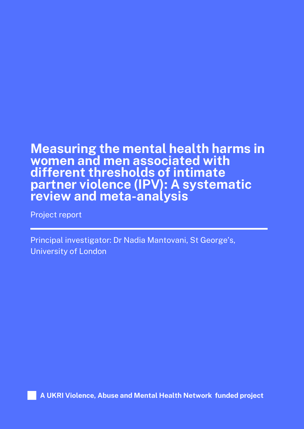## **Measuring the mental health harms in women and men associated with different thresholds of intimate partner violence (IPV): A systematic review and meta-analysis**

Project report

Principal investigator: Dr Nadia Mantovani, St George's, University of London

**A UKRI Violence, Abuse and Mental Health Network funded project**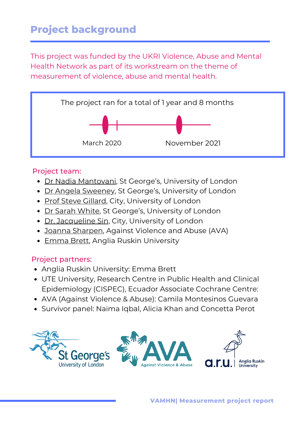## **Project background**

This project was funded by the UKRI Violence, Abuse and Mental Health Network as part of its workstream on the theme of measurement of violence, abuse and mental health.



#### Project team:

- Dr Nadia [Mantovani,](https://sgul.academia.edu/NadiaMantovani) St George's, University of London
- Dr Angela [Sweeney,](https://www.kcl.ac.uk/people/angela-sweeney) St George's, University of London
- Prof Steve [Gillard](https://www.city.ac.uk/about/people/academics/steve-gillard), City, University of London
- [Dr](https://www.sgul.ac.uk/profiles/sarah-white) Sarah [White,](https://www.sgul.ac.uk/profiles/sarah-white) St George's, University of London
- [Dr.](https://www.city.ac.uk/about/people/academics/jacqueline-sin) [Jacqueline](https://www.city.ac.uk/about/people/academics/jacqueline-sin) Sin, City, University of London
- Joanna [Sharpen,](https://www.linkedin.com/in/josharpen?original_referer=https%3A%2F%2Fuk.linkedin.com%2F&originalSubdomain=uk) Against Violence and Abuse (AVA)
- [Emma](https://aru.ac.uk/people/emma-brett) Brett, Anglia Ruskin University

#### Project partners:

- Anglia Ruskin University: Emma Brett
- UTE University, Research Centre in Public Health and Clinical Epidemiology (CISPEC), Ecuador Associate Cochrane Centre:
- AVA (Against Violence & Abuse): Camila Montesinos Guevara
- Survivor panel: Naima Iqbal, Alicia Khan and Concetta Perot

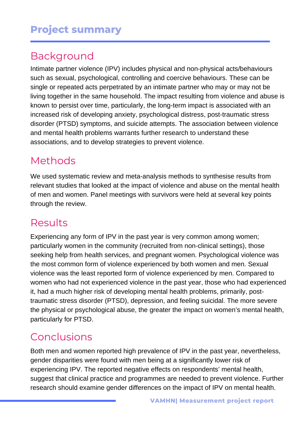## Background

Intimate partner violence (IPV) includes physical and non-physical acts/behaviours such as sexual, psychological, controlling and coercive behaviours. These can be single or repeated acts perpetrated by an intimate partner who may or may not be living together in the same household. The impact resulting from violence and abuse is known to persist over time, particularly, the long-term impact is associated with an increased risk of developing anxiety, psychological distress, post-traumatic stress disorder (PTSD) symptoms, and suicide attempts. The association between violence and mental health problems warrants further research to understand these associations, and to develop strategies to prevent violence.

### Methods

We used systematic review and meta-analysis methods to synthesise results from relevant studies that looked at the impact of violence and abuse on the mental health of men and women. Panel meetings with survivors were held at several key points through the review.

### Results

Experiencing any form of IPV in the past year is very common among women; particularly women in the community (recruited from non-clinical settings), those seeking help from health services, and pregnant women. Psychological violence was the most common form of violence experienced by both women and men. Sexual violence was the least reported form of violence experienced by men. Compared to women who had not experienced violence in the past year, those who had experienced it, had a much higher risk of developing mental health problems, primarily, posttraumatic stress disorder (PTSD), depression, and feeling suicidal. The more severe the physical or psychological abuse, the greater the impact on women's mental health, particularly for PTSD.

# Conclusions

Both men and women reported high prevalence of IPV in the past year, nevertheless, gender disparities were found with men being at a significantly lower risk of experiencing IPV. The reported negative effects on respondents' mental health, suggest that clinical practice and programmes are needed to prevent violence. Further research should examine gender differences on the impact of IPV on mental health.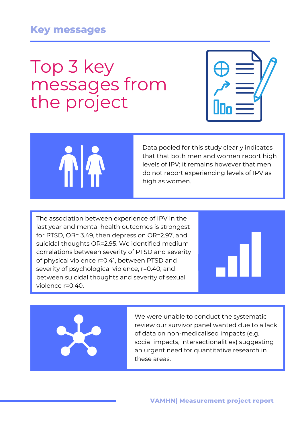#### **Key messages**

# Top 3 key messages from the project





Data pooled for this study clearly indicates that that both men and women report high levels of IPV; it remains however that men do not report experiencing levels of IPV as high as women.

The association between experience of IPV in the last year and mental health outcomes is strongest for PTSD, OR= 3.49, then depression OR=2.97, and suicidal thoughts OR=2.95. We identified medium correlations between severity of PTSD and severity of physical violence r=0.41, between PTSD and severity of psychological violence, r=0.40, and between suicidal thoughts and severity of sexual violence r=0.40.





We were unable to conduct the systematic review our survivor panel wanted due to a lack of data on non-medicalised impacts (e.g. social impacts, intersectionalities) suggesting an urgent need for quantitative research in these areas.